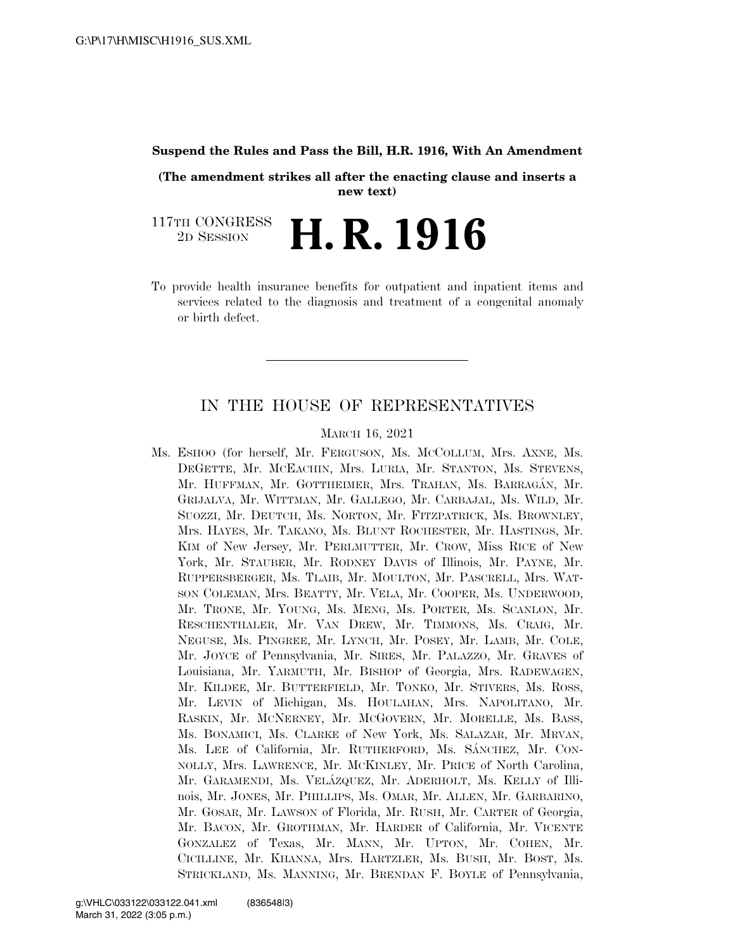### **Suspend the Rules and Pass the Bill, H.R. 1916, With An Amendment**

**(The amendment strikes all after the enacting clause and inserts a new text)** 

117TH CONGRESS <sup>2D SESSION</sup> **H. R. 1916** 

To provide health insurance benefits for outpatient and inpatient items and services related to the diagnosis and treatment of a congenital anomaly or birth defect.

## IN THE HOUSE OF REPRESENTATIVES

#### MARCH 16, 2021

Ms. ESHOO (for herself, Mr. FERGUSON, Ms. MCCOLLUM, Mrs. AXNE, Ms. DEGETTE, Mr. MCEACHIN, Mrs. LURIA, Mr. STANTON, Ms. STEVENS, Mr. HUFFMAN, Mr. GOTTHEIMER, Mrs. TRAHAN, Ms. BARRAGÁN, Mr. GRIJALVA, Mr. WITTMAN, Mr. GALLEGO, Mr. CARBAJAL, Ms. WILD, Mr. SUOZZI, Mr. DEUTCH, Ms. NORTON, Mr. FITZPATRICK, Ms. BROWNLEY, Mrs. HAYES, Mr. TAKANO, Ms. BLUNT ROCHESTER, Mr. HASTINGS, Mr. KIM of New Jersey, Mr. PERLMUTTER, Mr. CROW, Miss RICE of New York, Mr. STAUBER, Mr. RODNEY DAVIS of Illinois, Mr. PAYNE, Mr. RUPPERSBERGER, Ms. TLAIB, Mr. MOULTON, Mr. PASCRELL, Mrs. WAT-SON COLEMAN, Mrs. BEATTY, Mr. VELA, Mr. COOPER, Ms. UNDERWOOD, Mr. TRONE, Mr. YOUNG, Ms. MENG, Ms. PORTER, Ms. SCANLON, Mr. RESCHENTHALER, Mr. VAN DREW, Mr. TIMMONS, Ms. CRAIG, Mr. NEGUSE, Ms. PINGREE, Mr. LYNCH, Mr. POSEY, Mr. LAMB, Mr. COLE, Mr. JOYCE of Pennsylvania, Mr. SIRES, Mr. PALAZZO, Mr. GRAVES of Louisiana, Mr. YARMUTH, Mr. BISHOP of Georgia, Mrs. RADEWAGEN, Mr. KILDEE, Mr. BUTTERFIELD, Mr. TONKO, Mr. STIVERS, Ms. ROSS, Mr. LEVIN of Michigan, Ms. HOULAHAN, Mrs. NAPOLITANO, Mr. RASKIN, Mr. MCNERNEY, Mr. MCGOVERN, Mr. MORELLE, Ms. BASS, Ms. BONAMICI, Ms. CLARKE of New York, Ms. SALAZAR, Mr. MRVAN, Ms. LEE of California, Mr. RUTHERFORD, Ms. SÁNCHEZ, Mr. CON-NOLLY, Mrs. LAWRENCE, Mr. MCKINLEY, Mr. PRICE of North Carolina, Mr. GARAMENDI, Ms. VELÁZQUEZ, Mr. ADERHOLT, Ms. KELLY of Illinois, Mr. JONES, Mr. PHILLIPS, Ms. OMAR, Mr. ALLEN, Mr. GARBARINO, Mr. GOSAR, Mr. LAWSON of Florida, Mr. RUSH, Mr. CARTER of Georgia, Mr. BACON, Mr. GROTHMAN, Mr. HARDER of California, Mr. VICENTE GONZALEZ of Texas, Mr. MANN, Mr. UPTON, Mr. COHEN, Mr. CICILLINE, Mr. KHANNA, Mrs. HARTZLER, Ms. BUSH, Mr. BOST, Ms. STRICKLAND, Ms. MANNING, Mr. BRENDAN F. BOYLE of Pennsylvania,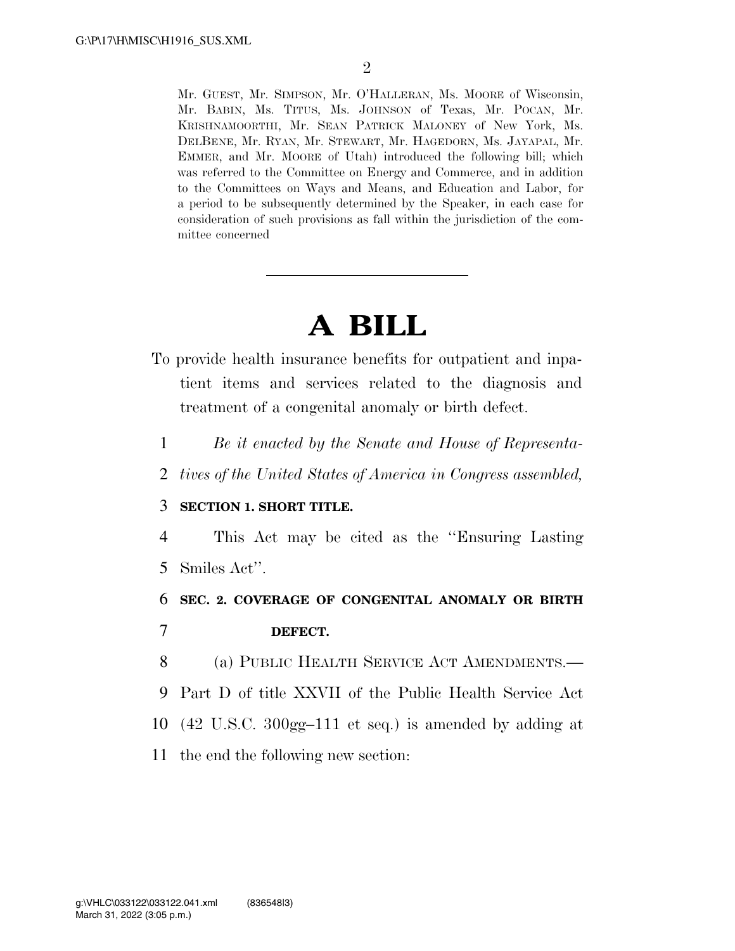Mr. GUEST, Mr. SIMPSON, Mr. O'HALLERAN, Ms. MOORE of Wisconsin, Mr. BABIN, Ms. TITUS, Ms. JOHNSON of Texas, Mr. POCAN, Mr. KRISHNAMOORTHI, Mr. SEAN PATRICK MALONEY of New York, Ms. DELBENE, Mr. RYAN, Mr. STEWART, Mr. HAGEDORN, Ms. JAYAPAL, Mr. EMMER, and Mr. MOORE of Utah) introduced the following bill; which was referred to the Committee on Energy and Commerce, and in addition to the Committees on Ways and Means, and Education and Labor, for a period to be subsequently determined by the Speaker, in each case for consideration of such provisions as fall within the jurisdiction of the committee concerned

# **A BILL**

- To provide health insurance benefits for outpatient and inpatient items and services related to the diagnosis and treatment of a congenital anomaly or birth defect.
	- 1 *Be it enacted by the Senate and House of Representa-*
	- 2 *tives of the United States of America in Congress assembled,*

## 3 **SECTION 1. SHORT TITLE.**

4 This Act may be cited as the ''Ensuring Lasting 5 Smiles Act''.

## 6 **SEC. 2. COVERAGE OF CONGENITAL ANOMALY OR BIRTH**  7 **DEFECT.**

 (a) PUBLIC HEALTH SERVICE ACT AMENDMENTS.— Part D of title XXVII of the Public Health Service Act (42 U.S.C. 300gg–111 et seq.) is amended by adding at the end the following new section: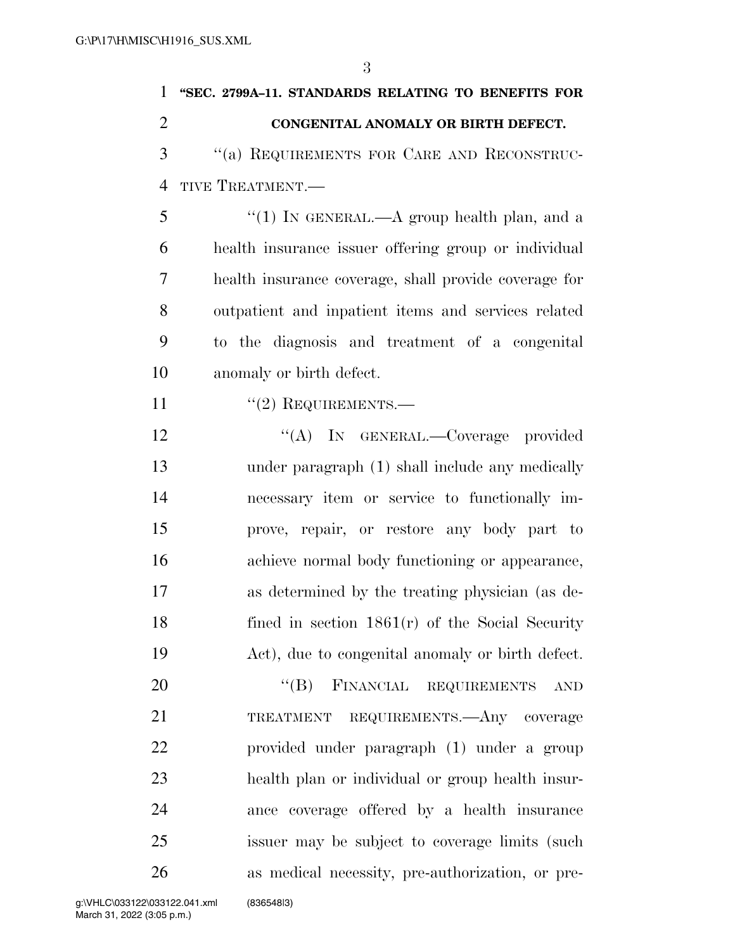| $\mathbf{1}$   | "SEC. 2799A-11. STANDARDS RELATING TO BENEFITS FOR    |
|----------------|-------------------------------------------------------|
| $\overline{2}$ | CONGENITAL ANOMALY OR BIRTH DEFECT.                   |
| 3              | "(a) REQUIREMENTS FOR CARE AND RECONSTRUC-            |
| $\overline{4}$ | TIVE TREATMENT.-                                      |
| 5              | "(1) IN GENERAL.—A group health plan, and a           |
| 6              | health insurance issuer offering group or individual  |
| 7              | health insurance coverage, shall provide coverage for |
| 8              | outpatient and inpatient items and services related   |
| 9              | to the diagnosis and treatment of a congenital        |
| 10             | anomaly or birth defect.                              |
| 11             | $"(2)$ REQUIREMENTS.—                                 |
| 12             | "(A) IN GENERAL.—Coverage provided                    |
| 13             | under paragraph (1) shall include any medically       |
| 14             | necessary item or service to functionally im-         |
| 15             | prove, repair, or restore any body part to            |
| 16             | achieve normal body functioning or appearance,        |
| 17             | as determined by the treating physician (as de-       |
| 18             | fined in section $1861(r)$ of the Social Security     |
| 19             | Act), due to congenital anomaly or birth defect.      |
| 20             | "(B) FINANCIAL REQUIREMENTS<br><b>AND</b>             |
| 21             | TREATMENT REQUIREMENTS.—Any coverage                  |
| 22             | provided under paragraph (1) under a group            |
| 23             | health plan or individual or group health insur-      |
| 24             | ance coverage offered by a health insurance           |
| 25             | issuer may be subject to coverage limits (such        |
| 26             | as medical necessity, pre-authorization, or pre-      |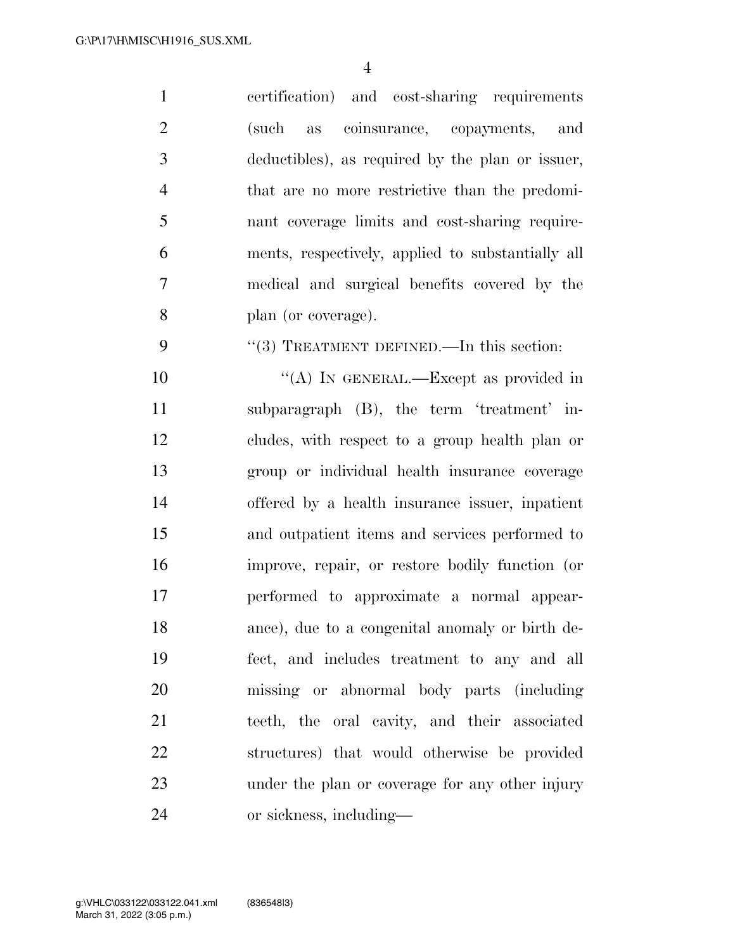certification) and cost-sharing requirements (such as coinsurance, copayments, and deductibles), as required by the plan or issuer, that are no more restrictive than the predomi- nant coverage limits and cost-sharing require- ments, respectively, applied to substantially all medical and surgical benefits covered by the plan (or coverage). 9 "(3) TREATMENT DEFINED.—In this section: 10 "(A) IN GENERAL.—Except as provided in subparagraph (B), the term 'treatment' in- cludes, with respect to a group health plan or group or individual health insurance coverage offered by a health insurance issuer, inpatient and outpatient items and services performed to improve, repair, or restore bodily function (or performed to approximate a normal appear- ance), due to a congenital anomaly or birth de- fect, and includes treatment to any and all missing or abnormal body parts (including teeth, the oral cavity, and their associated structures) that would otherwise be provided under the plan or coverage for any other injury

or sickness, including—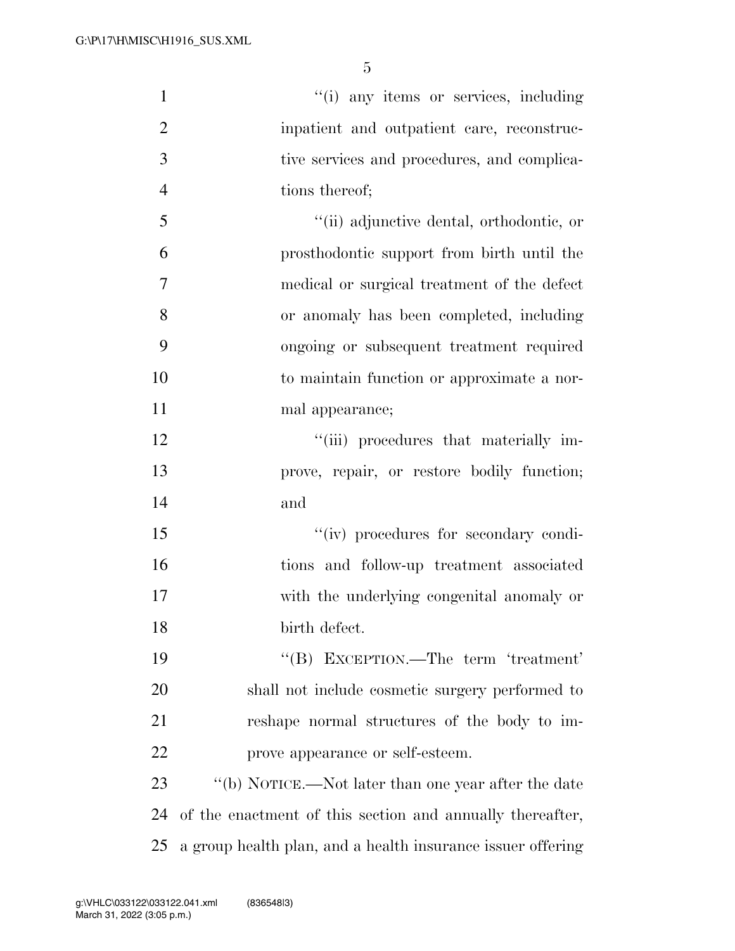| $\mathbf{1}$   | "(i) any items or services, including                       |
|----------------|-------------------------------------------------------------|
| $\overline{2}$ | inpatient and outpatient care, reconstruc-                  |
| 3              | tive services and procedures, and complica-                 |
| $\overline{4}$ | tions thereof;                                              |
| 5              | "(ii) adjunctive dental, orthodontic, or                    |
| 6              | prosthodontic support from birth until the                  |
| 7              | medical or surgical treatment of the defect                 |
| 8              | or anomaly has been completed, including                    |
| 9              | ongoing or subsequent treatment required                    |
| 10             | to maintain function or approximate a nor-                  |
| 11             | mal appearance;                                             |
| 12             | "(iii) procedures that materially im-                       |
| 13             | prove, repair, or restore bodily function;                  |
| 14             | and                                                         |
| 15             | "(iv) procedures for secondary condi-                       |
| 16             | tions and follow-up treatment associated                    |
| 17             | with the underlying congenital anomaly or                   |
| 18             | birth defect.                                               |
| 19             | "(B) EXCEPTION.—The term 'treatment'                        |
| 20             | shall not include cosmetic surgery performed to             |
| 21             | reshape normal structures of the body to im-                |
| 22             | prove appearance or self-esteem.                            |
| 23             | "(b) NOTICE.—Not later than one year after the date         |
| 24             | of the enactment of this section and annually thereafter,   |
| 25             | a group health plan, and a health insurance issuer offering |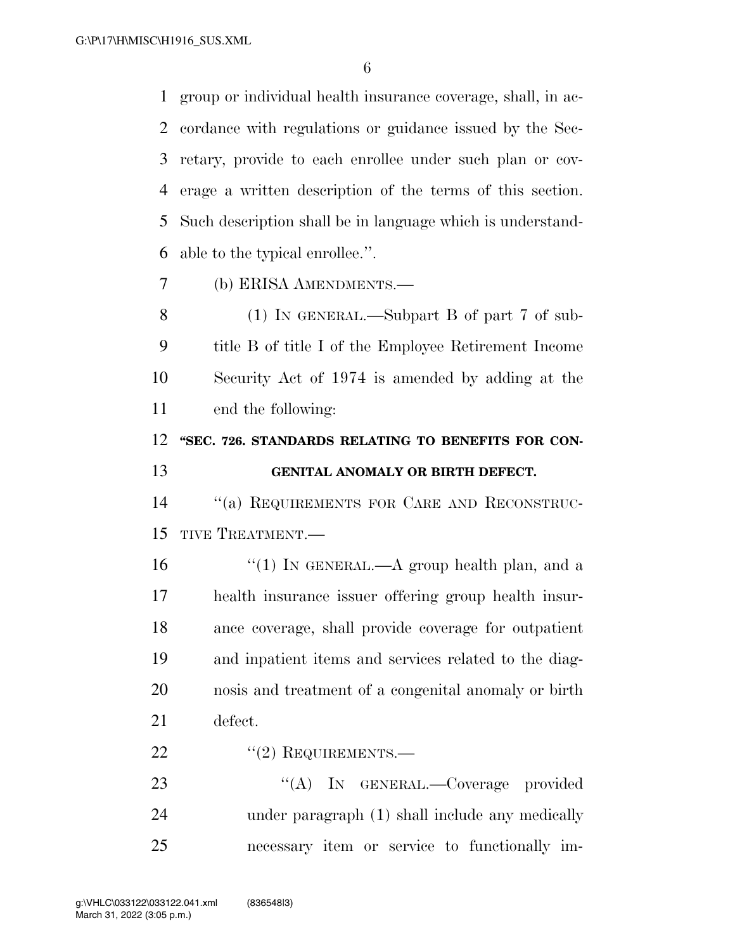group or individual health insurance coverage, shall, in ac- cordance with regulations or guidance issued by the Sec- retary, provide to each enrollee under such plan or cov- erage a written description of the terms of this section. Such description shall be in language which is understand-able to the typical enrollee.''.

(b) ERISA AMENDMENTS.—

 (1) IN GENERAL.—Subpart B of part 7 of sub- title B of title I of the Employee Retirement Income Security Act of 1974 is amended by adding at the end the following:

# **''SEC. 726. STANDARDS RELATING TO BENEFITS FOR CON-GENITAL ANOMALY OR BIRTH DEFECT.**

 ''(a) REQUIREMENTS FOR CARE AND RECONSTRUC-TIVE TREATMENT.—

 $\frac{16}{10}$  <sup>''</sup>(1) In GENERAL.—A group health plan, and a health insurance issuer offering group health insur- ance coverage, shall provide coverage for outpatient and inpatient items and services related to the diag- nosis and treatment of a congenital anomaly or birth defect.

22 "(2) REQUIREMENTS.—

23 "(A) IN GENERAL.—Coverage provided under paragraph (1) shall include any medically necessary item or service to functionally im-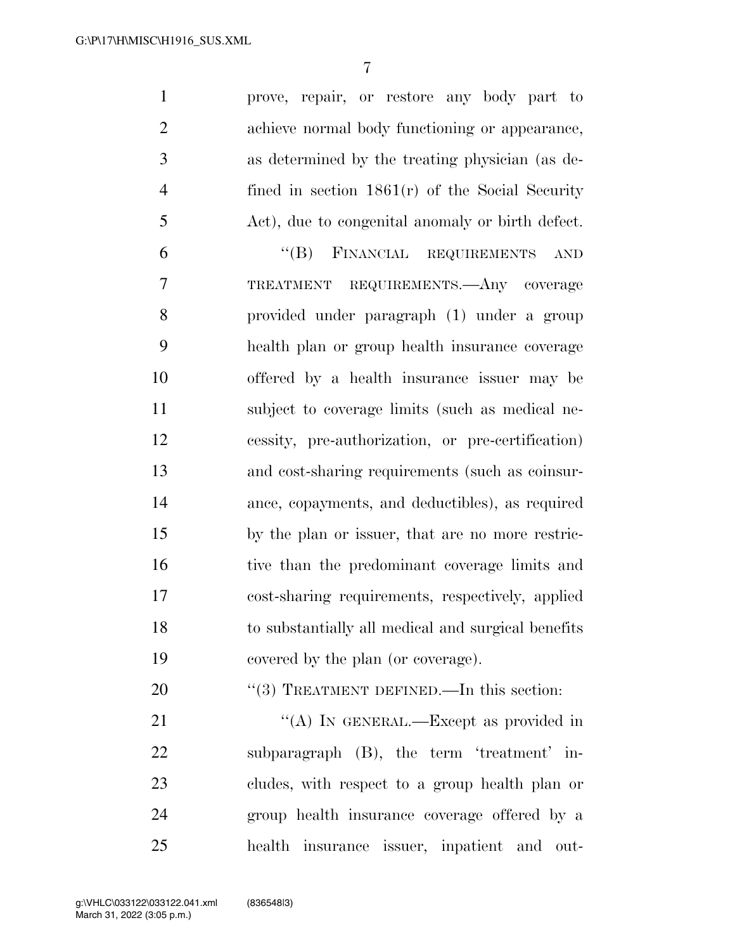prove, repair, or restore any body part to achieve normal body functioning or appearance, as determined by the treating physician (as de- fined in section 1861(r) of the Social Security Act), due to congenital anomaly or birth defect.

 ''(B) FINANCIAL REQUIREMENTS AND TREATMENT REQUIREMENTS.—Any coverage provided under paragraph (1) under a group health plan or group health insurance coverage offered by a health insurance issuer may be subject to coverage limits (such as medical ne- cessity, pre-authorization, or pre-certification) and cost-sharing requirements (such as coinsur- ance, copayments, and deductibles), as required by the plan or issuer, that are no more restric- tive than the predominant coverage limits and cost-sharing requirements, respectively, applied to substantially all medical and surgical benefits covered by the plan (or coverage).

20 "(3) TREATMENT DEFINED.—In this section:

21 ""(A) IN GENERAL.—Except as provided in subparagraph (B), the term 'treatment' in- cludes, with respect to a group health plan or group health insurance coverage offered by a health insurance issuer, inpatient and out-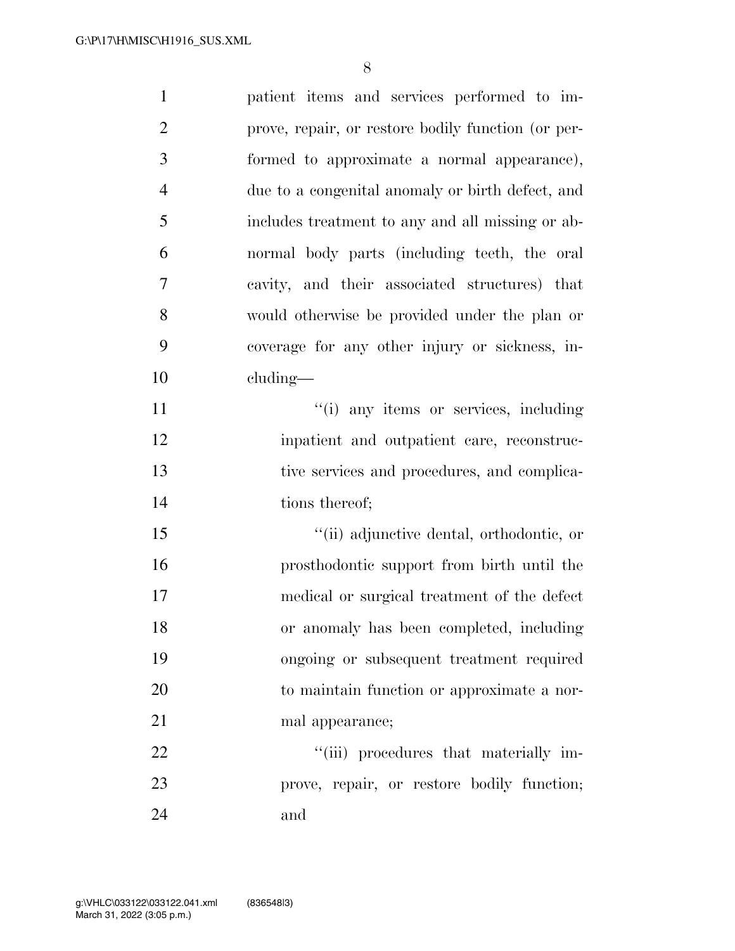| $\mathbf{1}$   | patient items and services performed to im-        |
|----------------|----------------------------------------------------|
| $\overline{2}$ | prove, repair, or restore bodily function (or per- |
| $\mathfrak{Z}$ | formed to approximate a normal appearance),        |
| $\overline{4}$ | due to a congenital anomaly or birth defect, and   |
| 5              | includes treatment to any and all missing or ab-   |
| 6              | normal body parts (including teeth, the oral       |
| $\overline{7}$ | cavity, and their associated structures) that      |
| 8              | would otherwise be provided under the plan or      |
| 9              | coverage for any other injury or sickness, in-     |
| 10             | $cluding$ —                                        |
| 11             | "(i) any items or services, including              |
| 12             | inpatient and outpatient care, reconstruc-         |
| 13             | tive services and procedures, and complica-        |
| 14             | tions thereof;                                     |
| 15             | "(ii) adjunctive dental, orthodontic, or           |
| 16             | prosthodontic support from birth until the         |
| 17             | medical or surgical treatment of the defect        |
| 18             | or anomaly has been completed, including           |
| 19             | ongoing or subsequent treatment required           |
| 20             | to maintain function or approximate a nor-         |
| 21             | mal appearance;                                    |
| 22             | "(iii) procedures that materially im-              |
| 23             | prove, repair, or restore bodily function;         |
| 24             | and                                                |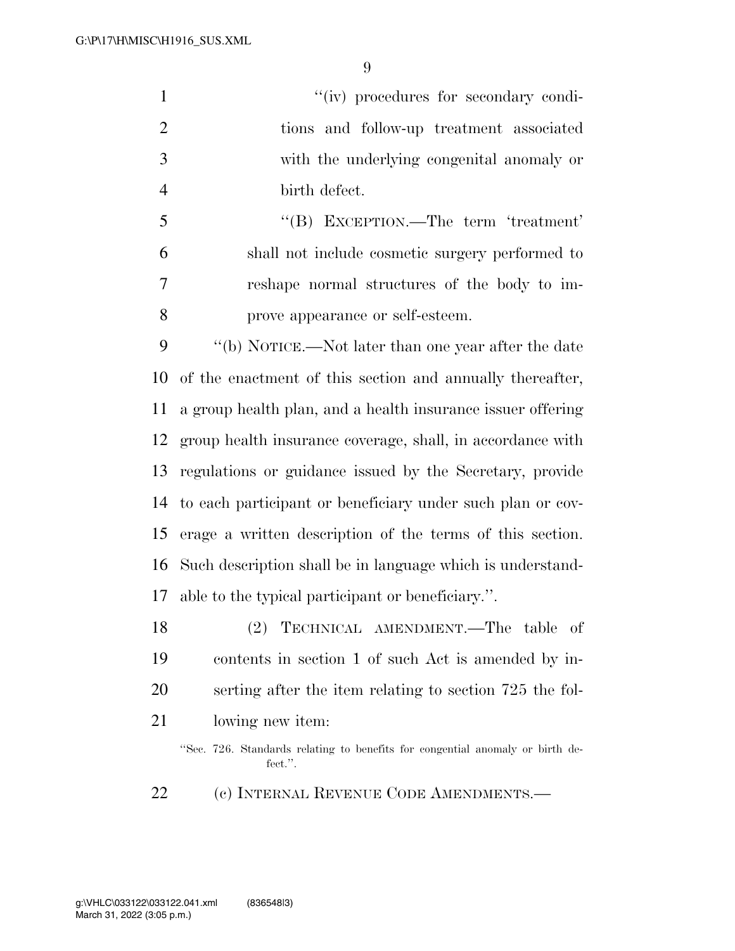$''(iv)$  procedures for secondary condi- tions and follow-up treatment associated with the underlying congenital anomaly or birth defect. ''(B) EXCEPTION.—The term 'treatment'

 shall not include cosmetic surgery performed to reshape normal structures of the body to im-prove appearance or self-esteem.

 ''(b) NOTICE.—Not later than one year after the date of the enactment of this section and annually thereafter, a group health plan, and a health insurance issuer offering group health insurance coverage, shall, in accordance with regulations or guidance issued by the Secretary, provide to each participant or beneficiary under such plan or cov- erage a written description of the terms of this section. Such description shall be in language which is understand-able to the typical participant or beneficiary.''.

 (2) TECHNICAL AMENDMENT.—The table of contents in section 1 of such Act is amended by in- serting after the item relating to section 725 the fol-lowing new item:

''Sec. 726. Standards relating to benefits for congential anomaly or birth defect.''.

(c) INTERNAL REVENUE CODE AMENDMENTS.—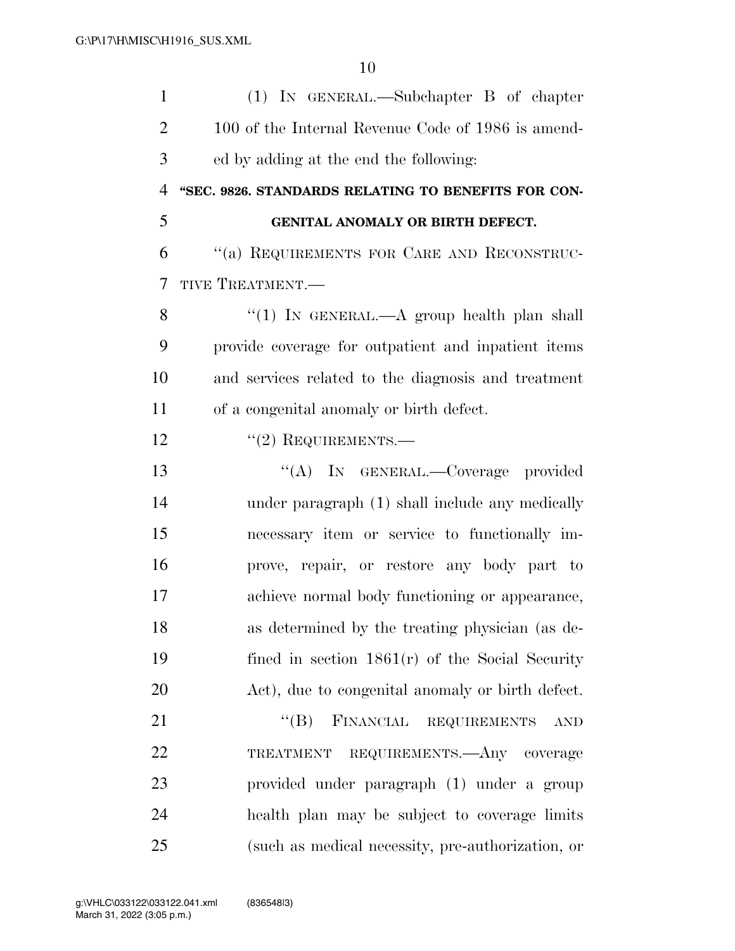| $\mathbf{1}$   | $(1)$ IN GENERAL.—Subchapter B of chapter           |
|----------------|-----------------------------------------------------|
| $\overline{2}$ | 100 of the Internal Revenue Code of 1986 is amend-  |
| 3              | ed by adding at the end the following:              |
| 4              | "SEC. 9826. STANDARDS RELATING TO BENEFITS FOR CON- |
| 5              | GENITAL ANOMALY OR BIRTH DEFECT.                    |
| 6              | "(a) REQUIREMENTS FOR CARE AND RECONSTRUC-          |
| 7              | TIVE TREATMENT.-                                    |
| 8              | "(1) IN GENERAL.—A group health plan shall          |
| 9              | provide coverage for outpatient and inpatient items |
| 10             | and services related to the diagnosis and treatment |
| 11             | of a congenital anomaly or birth defect.            |
| 12             | $"(2)$ REQUIREMENTS.—                               |
| 13             | "(A) IN GENERAL.—Coverage provided                  |
| 14             | under paragraph (1) shall include any medically     |
| 15             | necessary item or service to functionally im-       |
| 16             | prove, repair, or restore any body part to          |
| 17             | achieve normal body functioning or appearance,      |
| 18             | as determined by the treating physician (as de-     |
| 19             | fined in section $1861(r)$ of the Social Security   |
| 20             | Act), due to congenital anomaly or birth defect.    |
| 21             | "(B) FINANCIAL REQUIREMENTS<br><b>AND</b>           |
| 22             | TREATMENT REQUIREMENTS. Any coverage                |
| 23             | provided under paragraph (1) under a group          |
| 24             | health plan may be subject to coverage limits       |
| 25             | (such as medical necessity, pre-authorization, or   |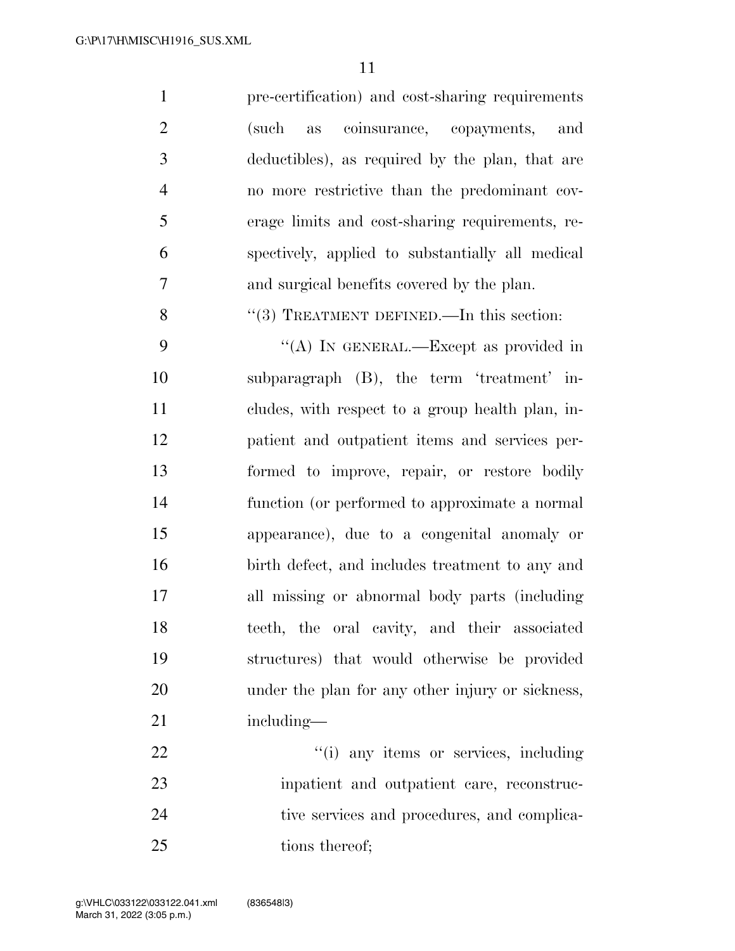pre-certification) and cost-sharing requirements (such as coinsurance, copayments, and deductibles), as required by the plan, that are no more restrictive than the predominant cov- erage limits and cost-sharing requirements, re- spectively, applied to substantially all medical and surgical benefits covered by the plan.

8 "(3) TREATMENT DEFINED.—In this section:

9 "(A) IN GENERAL.—Except as provided in subparagraph (B), the term 'treatment' in- cludes, with respect to a group health plan, in- patient and outpatient items and services per- formed to improve, repair, or restore bodily function (or performed to approximate a normal appearance), due to a congenital anomaly or birth defect, and includes treatment to any and all missing or abnormal body parts (including teeth, the oral cavity, and their associated structures) that would otherwise be provided under the plan for any other injury or sickness, 21 including—

22  $\frac{1}{2}$   $\frac{1}{2}$   $\frac{1}{2}$  any items or services, including inpatient and outpatient care, reconstruc-24 tive services and procedures, and complica-25 tions thereof;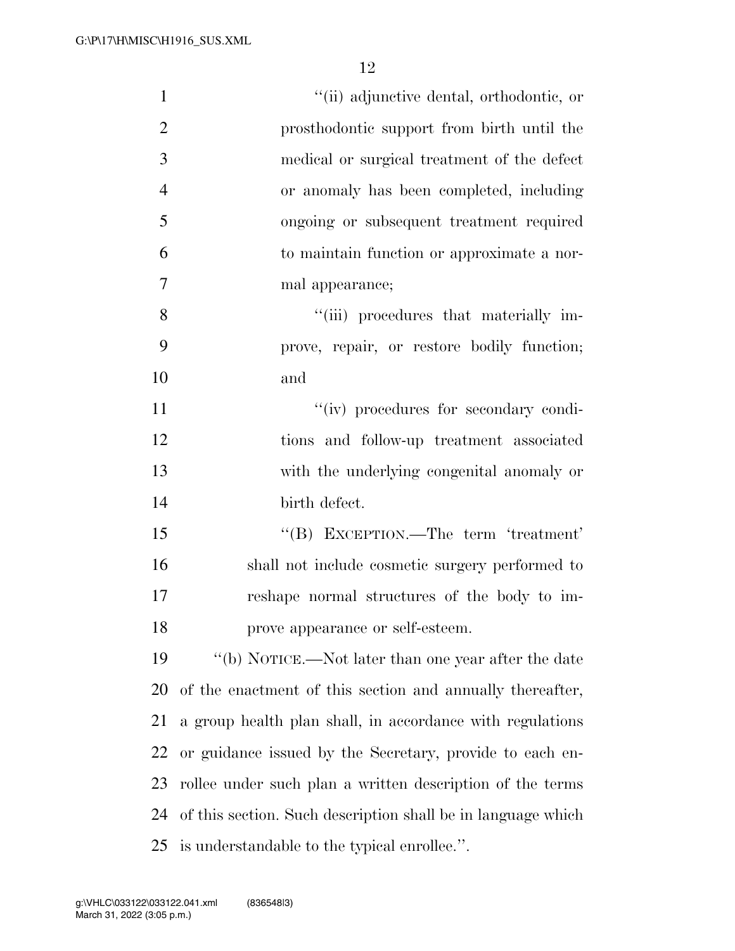| $\mathbf{1}$   | "(ii) adjunctive dental, orthodontic, or                     |
|----------------|--------------------------------------------------------------|
| $\overline{2}$ | prosthodontic support from birth until the                   |
| 3              | medical or surgical treatment of the defect                  |
|                |                                                              |
| $\overline{4}$ | or anomaly has been completed, including                     |
| 5              | ongoing or subsequent treatment required                     |
| 6              | to maintain function or approximate a nor-                   |
| 7              | mal appearance;                                              |
| 8              | "(iii) procedures that materially im-                        |
| 9              | prove, repair, or restore bodily function;                   |
| 10             | and                                                          |
| 11             | "(iv) procedures for secondary condi-                        |
| 12             | tions and follow-up treatment associated                     |
| 13             | with the underlying congenital anomaly or                    |
| 14             | birth defect.                                                |
| 15             | "(B) EXCEPTION.—The term 'treatment'                         |
| 16             | shall not include cosmetic surgery performed to              |
| 17             | reshape normal structures of the body to im-                 |
| 18             | prove appearance or self-esteem.                             |
| 19             | "(b) NOTICE.—Not later than one year after the date          |
| 20             | of the enactment of this section and annually thereafter,    |
| 21             | a group health plan shall, in accordance with regulations    |
| 22             | or guidance issued by the Secretary, provide to each en-     |
| 23             | rollee under such plan a written description of the terms    |
| 24             | of this section. Such description shall be in language which |
| 25             | is understandable to the typical enrollee.".                 |